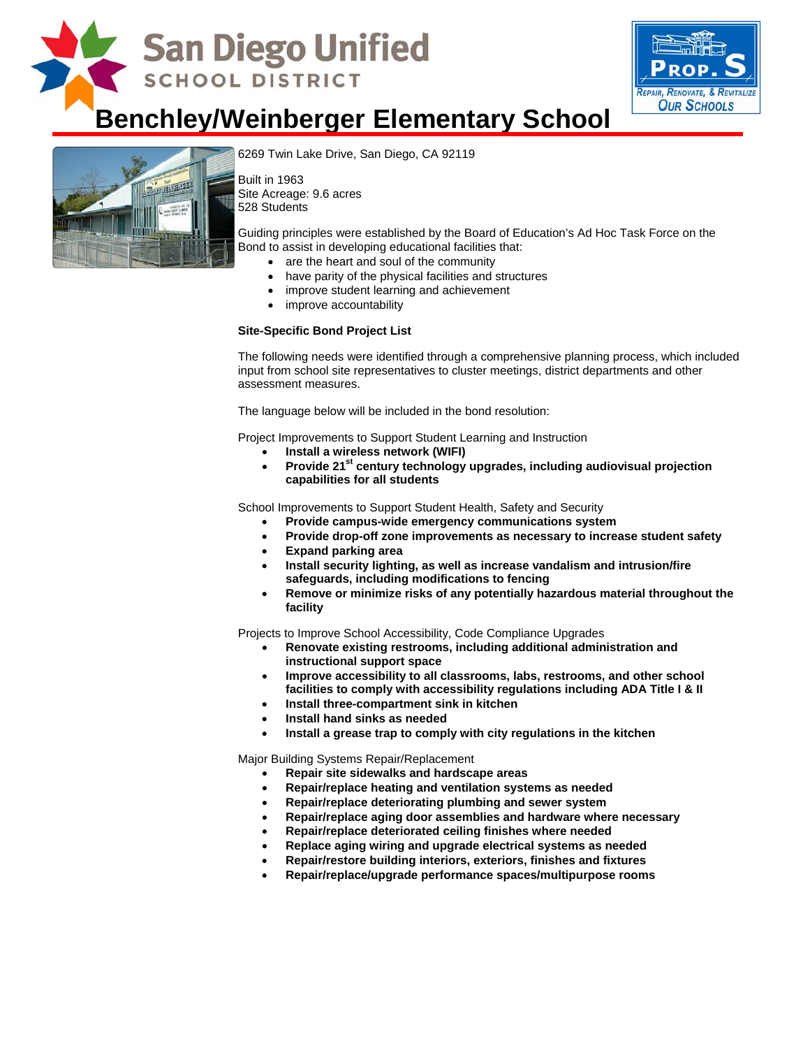



## **Benchley/Weinberger Elementary School**



[6269 Twin Lake Drive, San Diego, C](http://www.sandi.net/comm/schools/schlpix/benchleyweinberger.jpg)A 92119

Built in 1963 Site Acreage: 9.6 acres 528 Students

Guiding principles were established by the Board of Education's Ad Hoc Task Force on the Bond to assist in developing educational facilities that:

- are the heart and soul of the community
- have parity of the physical facilities and structures
- improve student learning and achievement
- improve accountability

#### **Site-Specific Bond Project List**

The following needs were identified through a comprehensive planning process, which included input from school site representatives to cluster meetings, district departments and other assessment measures.

The language below will be included in the bond resolution:

Project Improvements to Support Student Learning and Instruction

- **Install a wireless network (WIFI)**
- Provide 21<sup>st</sup> century technology upgrades, including audiovisual projection **capabilities for all students**

School Improvements to Support Student Health, Safety and Security

- **Provide campus-wide emergency communications system**
- **Provide drop-off zone improvements as necessary to increase student safety**
- **Expand parking area**
- **Install security lighting, as well as increase vandalism and intrusion/fire safeguards, including modifications to fencing**
- **Remove or minimize risks of any potentially hazardous material throughout the facility**

Projects to Improve School Accessibility, Code Compliance Upgrades

- **Renovate existing restrooms, including additional administration and instructional support space**
- **Improve accessibility to all classrooms, labs, restrooms, and other school facilities to comply with accessibility regulations including ADA Title I & II**
- **Install three-compartment sink in kitchen**
- **Install hand sinks as needed**
- **Install a grease trap to comply with city regulations in the kitchen**

Major Building Systems Repair/Replacement

- **Repair site sidewalks and hardscape areas**
- **Repair/replace heating and ventilation systems as needed**
- **Repair/replace deteriorating plumbing and sewer system**
- **Repair/replace aging door assemblies and hardware where necessary**
- **Repair/replace deteriorated ceiling finishes where needed**
- **Replace aging wiring and upgrade electrical systems as needed**
- **Repair/restore building interiors, exteriors, finishes and fixtures**
- **Repair/replace/upgrade performance spaces/multipurpose rooms**